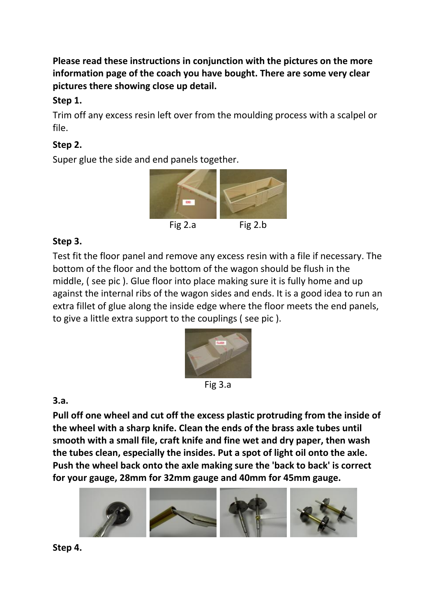**Please read these instructions in conjunction with the pictures on the more information page of the coach you have bought. There are some very clear pictures there showing close up detail.** 

### **Step 1.**

Trim off any excess resin left over from the moulding process with a scalpel or file.

# **Step 2.**

Super glue the side and end panels together.



### **Step 3.**

Test fit the floor panel and remove any excess resin with a file if necessary. The bottom of the floor and the bottom of the wagon should be flush in the middle, ( see pic ). Glue floor into place making sure it is fully home and up against the internal ribs of the wagon sides and ends. It is a good idea to run an extra fillet of glue along the inside edge where the floor meets the end panels, to give a little extra support to the couplings ( see pic ).



Fig 3.a

# **3.a.**

**Pull off one wheel and cut off the excess plastic protruding from the inside of the wheel with a sharp knife. Clean the ends of the brass axle tubes until smooth with a small file, craft knife and fine wet and dry paper, then wash the tubes clean, especially the insides. Put a spot of light oil onto the axle. Push the wheel back onto the axle making sure the 'back to back' is correct for your gauge, 28mm for 32mm gauge and 40mm for 45mm gauge.**



**Step 4.**